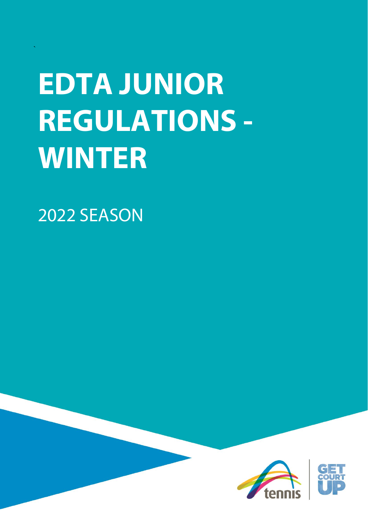# **EDTA JUNIOR REGULATIONS - WINTER**

2022 SEASON

`

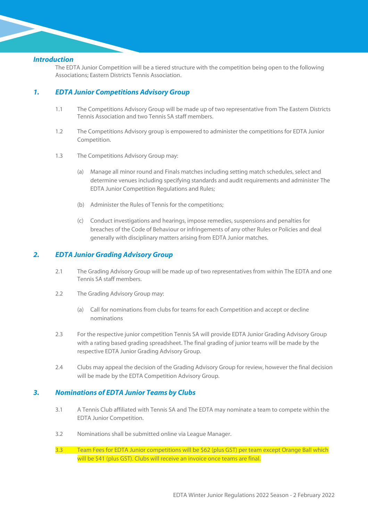### *Introduction*

The EDTA Junior Competition will be a tiered structure with the competition being open to the following Associations; Eastern Districts Tennis Association.

# *1. EDTA Junior Competitions Advisory Group*

- 1.1 The Competitions Advisory Group will be made up of two representative from The Eastern Districts Tennis Association and two Tennis SA staff members.
- 1.2 The Competitions Advisory group is empowered to administer the competitions for EDTA Junior Competition.
- 1.3 The Competitions Advisory Group may:
	- (a) Manage all minor round and Finals matches including setting match schedules, select and determine venues including specifying standards and audit requirements and administer The EDTA Junior Competition Regulations and Rules;
	- (b) Administer the Rules of Tennis for the competitions;
	- (c) Conduct investigations and hearings, impose remedies, suspensions and penalties for breaches of the Code of Behaviour or infringements of any other Rules or Policies and deal generally with disciplinary matters arising from EDTA Junior matches.

## *2. EDTA Junior Grading Advisory Group*

- 2.1 The Grading Advisory Group will be made up of two representatives from within The EDTA and one Tennis SA staff members.
- 2.2 The Grading Advisory Group may:
	- (a) Call for nominations from clubs for teams for each Competition and accept or decline nominations
- 2.3 For the respective junior competition Tennis SA will provide EDTA Junior Grading Advisory Group with a rating based grading spreadsheet. The final grading of junior teams will be made by the respective EDTA Junior Grading Advisory Group.
- 2.4 Clubs may appeal the decision of the Grading Advisory Group for review, however the final decision will be made by the EDTA Competition Advisory Group.

## *3. Nominations of EDTA Junior Teams by Clubs*

- 3.1 A Tennis Club affiliated with Tennis SA and The EDTA may nominate a team to compete within the EDTA Junior Competition.
- 3.2 Nominations shall be submitted online via League Manager.
- 3.3 Team Fees for EDTA Junior competitions will be \$62 (plus GST) per team except Orange Ball which will be \$41 (plus GST). Clubs will receive an invoice once teams are final.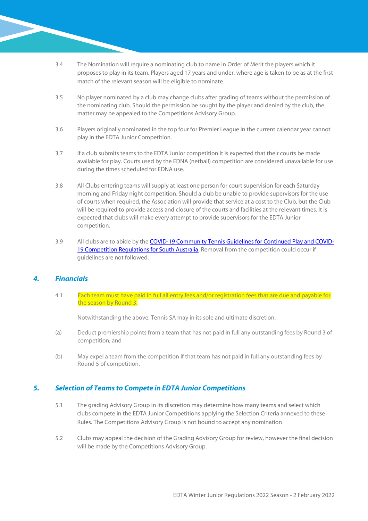- 3.4 The Nomination will require a nominating club to name in Order of Merit the players which it proposes to play in its team. Players aged 17 years and under, where age is taken to be as at the first match of the relevant season will be eligible to nominate.
- 3.5 No player nominated by a club may change clubs after grading of teams without the permission of the nominating club. Should the permission be sought by the player and denied by the club, the matter may be appealed to the Competitions Advisory Group.
- 3.6 Players originally nominated in the top four for Premier League in the current calendar year cannot play in the EDTA Junior Competition.
- 3.7 If a club submits teams to the EDTA Junior competition it is expected that their courts be made available for play. Courts used by the EDNA (netball) competition are considered unavailable for use during the times scheduled for EDNA use.
- 3.8 All Clubs entering teams will supply at least one person for court supervision for each Saturday morning and Friday night competition. Should a club be unable to provide supervisors for the use of courts when required, the Association will provide that service at a cost to the Club, but the Club will be required to provide access and closure of the courts and facilities at the relevant times. It is expected that clubs will make every attempt to provide supervisors for the EDTA Junior competition.
- 3.9 All clubs are to abide by th[e COVID-19 Community Tennis Guidelines for Continued Play and COVID-](https://www.tennis.com.au/sa/players/coronavirus-covid-19)[19 Competition Regulations for South Australia.](https://www.tennis.com.au/sa/players/coronavirus-covid-19) Removal from the competition could occur if guidelines are not followed.

## *4. Financials*

4.1 Each team must have paid in full all entry fees and/or registration fees that are due and payable for the season by Round 3.

Notwithstanding the above, Tennis SA may in its sole and ultimate discretion:

- (a) Deduct premiership points from a team that has not paid in full any outstanding fees by Round 3 of competition; and
- (b) May expel a team from the competition if that team has not paid in full any outstanding fees by Round 5 of competition.

## *5. Selection of Teams to Compete in EDTA Junior Competitions*

- 5.1 The grading Advisory Group in its discretion may determine how many teams and select which clubs compete in the EDTA Junior Competitions applying the Selection Criteria annexed to these Rules. The Competitions Advisory Group is not bound to accept any nomination
- 5.2 Clubs may appeal the decision of the Grading Advisory Group for review, however the final decision will be made by the Competitions Advisory Group.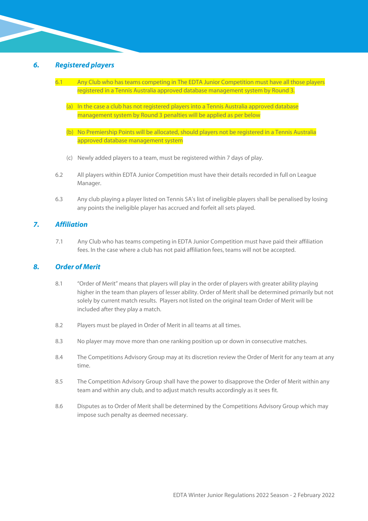## *6. Registered players*

- 6.1 Any Club who has teams competing in The EDTA Junior Competition must have all those players registered in a Tennis Australia approved database management system by Round 3.
	- (a) In the case a club has not registered players into a Tennis Australia approved database management system by Round 3 penalties will be applied as per below
	- (b) No Premiership Points will be allocated, should players not be registered in a Tennis Australia approved database management system
	- (c) Newly added players to a team, must be registered within 7 days of play.
- 6.2 All players within EDTA Junior Competition must have their details recorded in full on League Manager.
- 6.3 Any club playing a player listed on Tennis SA's list of ineligible players shall be penalised by losing any points the ineligible player has accrued and forfeit all sets played.

## *7. Affiliation*

7.1 Any Club who has teams competing in EDTA Junior Competition must have paid their affiliation fees. In the case where a club has not paid affiliation fees, teams will not be accepted.

#### *8. Order of Merit*

- 8.1 "Order of Merit" means that players will play in the order of players with greater ability playing higher in the team than players of lesser ability. Order of Merit shall be determined primarily but not solely by current match results. Players not listed on the original team Order of Merit will be included after they play a match.
- 8.2 Players must be played in Order of Merit in all teams at all times.
- 8.3 No player may move more than one ranking position up or down in consecutive matches.
- 8.4 The Competitions Advisory Group may at its discretion review the Order of Merit for any team at any time.
- 8.5 The Competition Advisory Group shall have the power to disapprove the Order of Merit within any team and within any club, and to adjust match results accordingly as it sees fit.
- 8.6 Disputes as to Order of Merit shall be determined by the Competitions Advisory Group which may impose such penalty as deemed necessary.